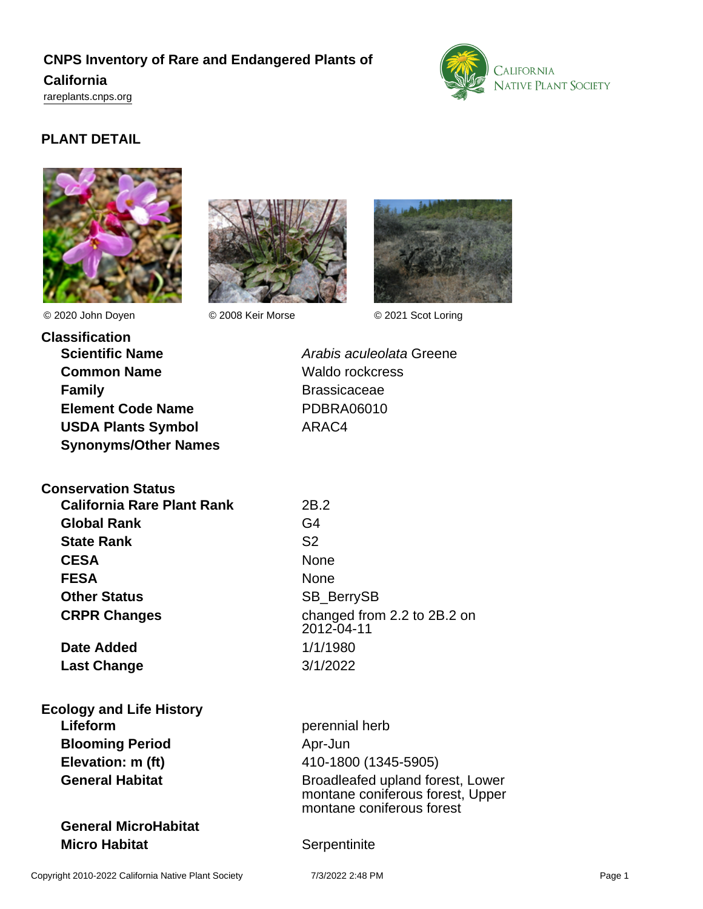# **CNPS Inventory of Rare and Endangered Plants of**

#### **California**

<rareplants.cnps.org>



## **PLANT DETAIL**





© 2020 John Doyen © 2008 Keir Morse © 2021 Scot Loring



**Classification Scientific Name Arabis aculeolata Greene Common Name** Waldo rockcress **Family Brassicaceae Element Code Name** PDBRA06010 **USDA Plants Symbol** ARAC4 **Synonyms/Other Names**

## **Conservation Status**

**California Rare Plant Rank** 2B.2 **Global Rank** G4 **State Rank** S2 **CESA** None **FESA** None **Other Status** SB\_BerrySB

**Date Added** 1/1/1980 **Last Change** 3/1/2022

#### **Ecology and Life History Lifeform** perennial herb **Blooming Period** Apr-Jun

## **General MicroHabitat Micro Habitat** Serpentinite

**CRPR Changes** changed from 2.2 to 2B.2 on 2012-04-11

**Elevation: m (ft)** 410-1800 (1345-5905) **General Habitat General Habitat Broadleafed upland forest, Lower** montane coniferous forest, Upper montane coniferous forest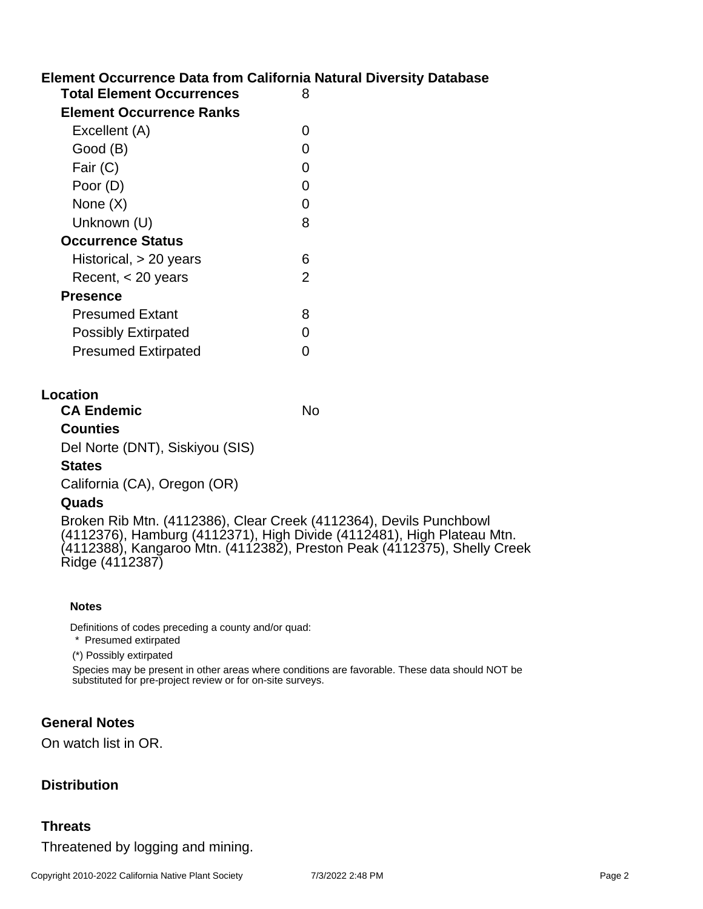## **Element Occurrence Data from California Natural Diversity Database**

| <b>Total Element Occurrences</b> | 8 |
|----------------------------------|---|
| Element Occurrence Ranks         |   |
| Excellent (A)                    | O |
| Good (B)                         |   |
| Fair (C)                         |   |
| Poor (D)                         |   |
| None (X)                         | ∩ |
| Unknown (U)                      | 8 |
| <b>Occurrence Status</b>         |   |
| Historical, > 20 years           | 6 |
| Recent, $<$ 20 years             | 2 |
| <b>Presence</b>                  |   |
| <b>Presumed Extant</b>           | 8 |
| <b>Possibly Extirpated</b>       |   |
| <b>Presumed Extirpated</b>       |   |
|                                  |   |

#### **Location**

**CA Endemic** No **Counties** Del Norte (DNT), Siskiyou (SIS) **States** California (CA), Oregon (OR)

#### **Quads**

Broken Rib Mtn. (4112386), Clear Creek (4112364), Devils Punchbowl (4112376), Hamburg (4112371), High Divide (4112481), High Plateau Mtn. (4112388), Kangaroo Mtn. (4112382), Preston Peak (4112375), Shelly Creek Ridge (4112387)

#### **Notes**

Definitions of codes preceding a county and/or quad:

\* Presumed extirpated

(\*) Possibly extirpated

Species may be present in other areas where conditions are favorable. These data should NOT be substituted for pre-project review or for on-site surveys.

#### **General Notes**

On watch list in OR.

### **Distribution**

#### **Threats**

Threatened by logging and mining.